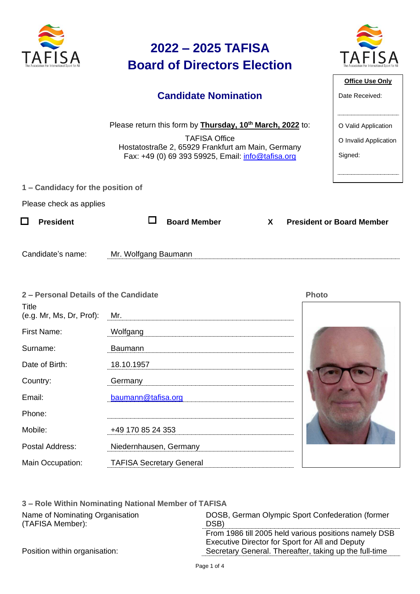| The Association For International Sport for All |  |
|-------------------------------------------------|--|



**Office Use Only**

O Valid Application

O Invalid Application

Signed:

Date Received:

### **Candidate Nomination**

Please return this form by **Thursday, 10th March, 2022** to:

TAFISA Office Hostatostraße 2, 65929 Frankfurt am Main, Germany Fax: +49 (0) 69 393 59925, Email: [info@tafisa.org](mailto:info@tafisa.net)

|  | 1 – Candidacy for the position of |  |  |  |  |
|--|-----------------------------------|--|--|--|--|
|--|-----------------------------------|--|--|--|--|

Please check as applies

| $\Box$ President | $\Box$ Board Member | <b>X</b> | <b>President or Board Member</b> |
|------------------|---------------------|----------|----------------------------------|
|                  |                     |          |                                  |

Candidate's name: Mr. Wolfgang Baumann

| 2 - Personal Details of the Candidate |                                 | <b>Photo</b> |
|---------------------------------------|---------------------------------|--------------|
| Title<br>(e.g. Mr, Ms, Dr, Prof):     | Mr.                             |              |
| First Name:                           | Wolfgang                        |              |
| Surname:                              | Baumann                         |              |
| Date of Birth:                        | 18.10.1957                      |              |
| Country:                              | Germany                         |              |
| Email:                                | baumann@tafisa.org              |              |
| Phone:                                |                                 |              |
| Mobile:                               | +49 170 85 24 353               |              |
| Postal Address:                       | Niedernhausen, Germany          |              |
| Main Occupation:                      | <b>TAFISA Secretary General</b> |              |

| 3 – Role Within Nominating National Member of TAFISA |                                                        |
|------------------------------------------------------|--------------------------------------------------------|
| Name of Nominating Organisation                      | DOSB, German Olympic Sport Confederation (former       |
| (TAFISA Member):                                     | DSB)                                                   |
|                                                      | From 1986 till 2005 held various positions namely DSB  |
|                                                      | Executive Director for Sport for All and Deputy        |
| Position within organisation:                        | Secretary General. Thereafter, taking up the full-time |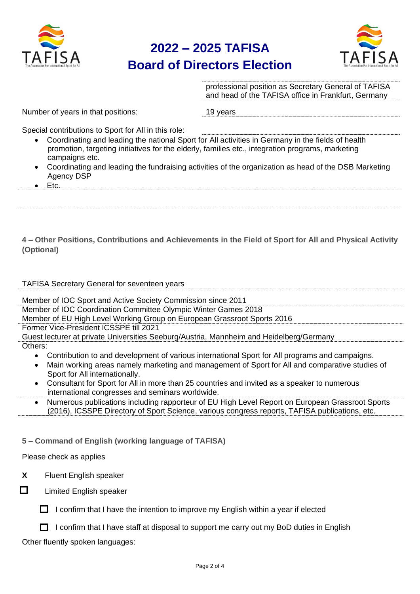



professional position as Secretary General of TAFISA and head of the TAFISA office in Frankfurt, Germany

Number of years in that positions: 19 years

Special contributions to Sport for All in this role:

- Coordinating and leading the national Sport for All activities in Germany in the fields of health promotion, targeting initiatives for the elderly, families etc., integration programs, marketing campaigns etc.
- Coordinating and leading the fundraising activities of the organization as head of the DSB Marketing Agency DSP
- Etc.

**4 – Other Positions, Contributions and Achievements in the Field of Sport for All and Physical Activity (Optional)**

#### TAFISA Secretary General for seventeen years

Member of IOC Sport and Active Society Commission since 2011

Member of IOC Coordination Committee Olympic Winter Games 2018

Member of EU High Level Working Group on European Grassroot Sports 2016

Former Vice-President ICSSPE till 2021

Guest lecturer at private Universities Seeburg/Austria, Mannheim and Heidelberg/Germany

- Others:
	- Contribution to and development of various international Sport for All programs and campaigns.
	- Main working areas namely marketing and management of Sport for All and comparative studies of Sport for All internationally.
	- Consultant for Sport for All in more than 25 countries and invited as a speaker to numerous international congresses and seminars worldwide.
	- Numerous publications including rapporteur of EU High Level Report on European Grassroot Sports (2016), ICSSPE Directory of Sport Science, various congress reports, TAFISA publications, etc.

**5 – Command of English (working language of TAFISA)**

Please check as applies

- **X** Fluent English speaker
- $\Box$

Limited English speaker

 $\Box$  I confirm that I have the intention to improve my English within a year if elected

 $\Box$  I confirm that I have staff at disposal to support me carry out my BoD duties in English

Other fluently spoken languages: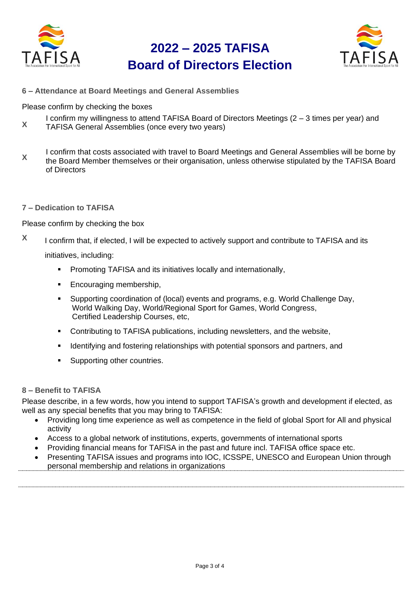



**6 – Attendance at Board Meetings and General Assemblies**

Please confirm by checking the boxes

- I confirm my willingness to attend TAFISA Board of Directors Meetings (2 3 times per year) and
- **X** TAFISA General Assemblies (once every two years)
- **X** I confirm that costs associated with travel to Board Meetings and General Assemblies will be borne by the Board Member themselves or their organisation, unless otherwise stipulated by the TAFISA Board of Directors
- **7 – Dedication to TAFISA**

Please confirm by checking the box

**X** I confirm that, if elected, I will be expected to actively support and contribute to TAFISA and its

initiatives, including:

- **•** Promoting TAFISA and its initiatives locally and internationally,
- Encouraging membership,
- Supporting coordination of (local) events and programs, e.g. World Challenge Day, World Walking Day, World/Regional Sport for Games, World Congress, Certified Leadership Courses, etc,
- Contributing to TAFISA publications, including newsletters, and the website,
- Identifying and fostering relationships with potential sponsors and partners, and
- Supporting other countries.

#### **8 – Benefit to TAFISA**

Please describe, in a few words, how you intend to support TAFISA's growth and development if elected, as well as any special benefits that you may bring to TAFISA:

- Providing long time experience as well as competence in the field of global Sport for All and physical activity
- Access to a global network of institutions, experts, governments of international sports
- Providing financial means for TAFISA in the past and future incl. TAFISA office space etc.
- Presenting TAFISA issues and programs into IOC, ICSSPE, UNESCO and European Union through personal membership and relations in organizations